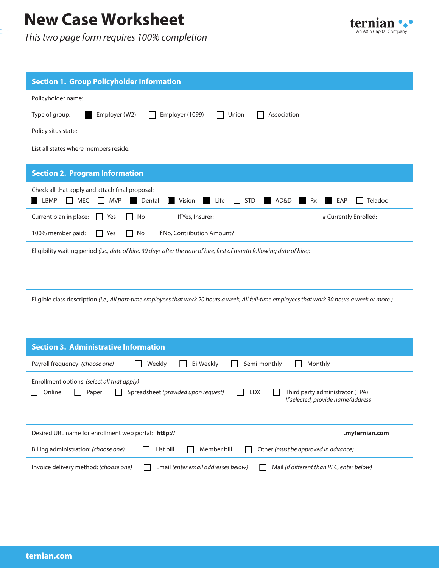## **New Case Worksheet**

*This two page form requires 100% completion*



| <b>Section 1. Group Policyholder Information</b>                                                                                                                                                               |  |  |  |
|----------------------------------------------------------------------------------------------------------------------------------------------------------------------------------------------------------------|--|--|--|
| Policyholder name:                                                                                                                                                                                             |  |  |  |
| Type of group:<br>Employer (W2)<br>Employer (1099)<br>Union<br>Association                                                                                                                                     |  |  |  |
| Policy situs state:                                                                                                                                                                                            |  |  |  |
| List all states where members reside:                                                                                                                                                                          |  |  |  |
| <b>Section 2. Program Information</b>                                                                                                                                                                          |  |  |  |
| Check all that apply and attach final proposal:<br><b>MEC</b><br><b>MVP</b><br><b>STD</b><br>AD&D<br>LBMP<br>$\mathsf{L}$<br>Vision<br>Life<br>$\mathsf{L}$<br>Teladoc<br>Dental<br>Rx<br>EAP                  |  |  |  |
| # Currently Enrolled:<br>If Yes, Insurer:<br>Current plan in place:<br>No<br>$\mathsf{L}$<br>Yes<br>LΙ                                                                                                         |  |  |  |
| 100% member paid:<br>$\Box$ Yes<br>No<br>If No, Contribution Amount?<br>ΙI                                                                                                                                     |  |  |  |
| Eligibility waiting period (i.e., date of hire, 30 days after the date of hire, first of month following date of hire):                                                                                        |  |  |  |
| Eligible class description (i.e., All part-time employees that work 20 hours a week, All full-time employees that work 30 hours a week or more.)                                                               |  |  |  |
| <b>Section 3. Administrative Information</b>                                                                                                                                                                   |  |  |  |
| <b>Bi-Weekly</b><br>Payroll frequency: (choose one)<br>Weekly<br>Semi-monthly<br>Monthly                                                                                                                       |  |  |  |
| Enrollment options: (select all that apply)<br>Online <b>D</b> Paper <b>D</b> Spreadsheet (provided upon request)<br>$\Box$ EDX<br>$\Box$ Third party administrator (TPA)<br>If selected, provide name/address |  |  |  |
| Desired URL name for enrollment web portal: http://<br>.myternian.com                                                                                                                                          |  |  |  |
| Billing administration: (choose one)<br>Other (must be approved in advance)<br>List bill<br>Member bill                                                                                                        |  |  |  |
| Invoice delivery method: (choose one)<br>Email (enter email addresses below)<br>Mail (if different than RFC, enter below)                                                                                      |  |  |  |